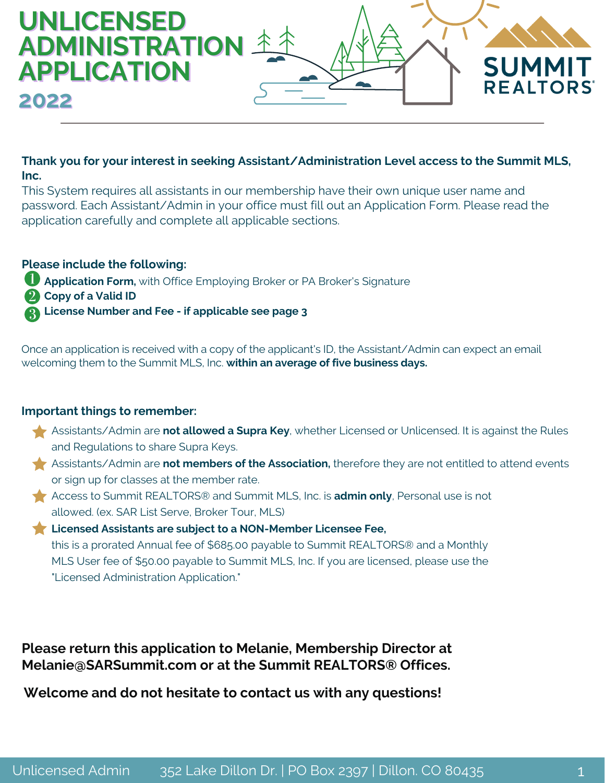

### **Thank you for your interest in seeking Assistant/Administration Level access to the Summit MLS, Inc.**

This System requires all assistants in our membership have their own unique user name and password. Each Assistant/Admin in your office must fill out an Application Form. Please read the application carefully and complete all applicable sections.

#### **Please include the following:**

- **Application Form,** with Office Employing Broker or PA Broker's Signature
- **Copy of a Valid ID**

**License Number and Fee - if applicable see page 3**

Once an application is received with a copy of the applicant's ID, the Assistant/Admin can expect an email welcoming them to the Summit MLS, Inc. **within an average of five business days.**

### **Important things to remember:**

- Assistants/Admin are **not allowed a Supra Key**, whether Licensed or Unlicensed. It is against the Rules and Regulations to share Supra Keys.
- Assistants/Admin are **not members of the Association,** therefore they are not entitled to attend events or sign up for classes at the member rate.
- Access to Summit REALTORS® and Summit MLS, Inc. is **admin only**, Personal use is not allowed. (ex. SAR List Serve, Broker Tour, MLS)
- **Licensed Assistants are subject to a NON-Member Licensee Fee,** this is a prorated Annual fee of \$685.00 payable to Summit REALTORS® and a Monthly MLS User fee of \$50.00 payable to Summit MLS, Inc. If you are licensed, please use the "Licensed Administration Application."

**Please return this application to Melanie, Membership Director at Melanie@SARSummit.com or at the Summit REALTORS® Offices.**

**Welcome and do not hesitate to contact us with any questions!**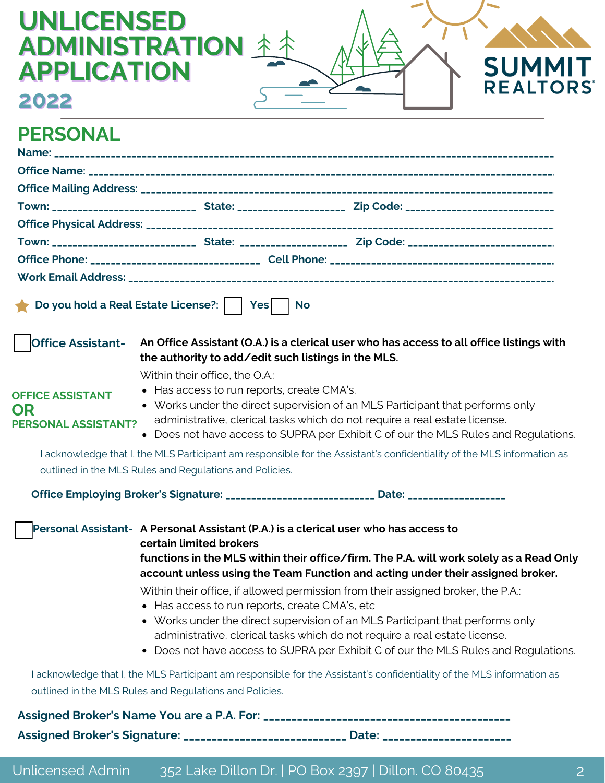| <b>UNLICENSED</b><br><b>APPLICATION</b>                     | <b>ADMINISTRATION 4</b><br><b>SUMMIT</b>                                                                                                                                                                                                                                                                                                                                                                                                                                                                                                                                                                                                                                                 |
|-------------------------------------------------------------|------------------------------------------------------------------------------------------------------------------------------------------------------------------------------------------------------------------------------------------------------------------------------------------------------------------------------------------------------------------------------------------------------------------------------------------------------------------------------------------------------------------------------------------------------------------------------------------------------------------------------------------------------------------------------------------|
| 2022                                                        | <b>REALTORS</b>                                                                                                                                                                                                                                                                                                                                                                                                                                                                                                                                                                                                                                                                          |
| <b>PERSONAL</b>                                             |                                                                                                                                                                                                                                                                                                                                                                                                                                                                                                                                                                                                                                                                                          |
|                                                             |                                                                                                                                                                                                                                                                                                                                                                                                                                                                                                                                                                                                                                                                                          |
|                                                             |                                                                                                                                                                                                                                                                                                                                                                                                                                                                                                                                                                                                                                                                                          |
|                                                             | Do you hold a Real Estate License?:     Yes<br><b>No</b>                                                                                                                                                                                                                                                                                                                                                                                                                                                                                                                                                                                                                                 |
| <b>Office Assistant-</b>                                    | An Office Assistant (O.A.) is a clerical user who has access to all office listings with<br>the authority to add/edit such listings in the MLS.<br>Within their office, the O.A.:                                                                                                                                                                                                                                                                                                                                                                                                                                                                                                        |
| <b>OFFICE ASSISTANT</b><br>OR<br><b>PERSONAL ASSISTANT?</b> | • Has access to run reports, create CMA's.<br>• Works under the direct supervision of an MLS Participant that performs only<br>administrative, clerical tasks which do not require a real estate license.<br>• Does not have access to SUPRA per Exhibit C of our the MLS Rules and Regulations.                                                                                                                                                                                                                                                                                                                                                                                         |
|                                                             | I acknowledge that I, the MLS Participant am responsible for the Assistant's confidentiality of the MLS information as<br>outlined in the MLS Rules and Regulations and Policies.                                                                                                                                                                                                                                                                                                                                                                                                                                                                                                        |
|                                                             | Office Employing Broker's Signature: ____________________________ Date: ___________________                                                                                                                                                                                                                                                                                                                                                                                                                                                                                                                                                                                              |
|                                                             | Personal Assistant- A Personal Assistant (P.A.) is a clerical user who has access to<br>certain limited brokers<br>functions in the MLS within their office/firm. The P.A. will work solely as a Read Only<br>account unless using the Team Function and acting under their assigned broker.<br>Within their office, if allowed permission from their assigned broker, the P.A.:<br>• Has access to run reports, create CMA's, etc<br>• Works under the direct supervision of an MLS Participant that performs only<br>administrative, clerical tasks which do not require a real estate license.<br>• Does not have access to SUPRA per Exhibit C of our the MLS Rules and Regulations. |
|                                                             | I acknowledge that I, the MLS Participant am responsible for the Assistant's confidentiality of the MLS information as<br>outlined in the MLS Rules and Regulations and Policies.                                                                                                                                                                                                                                                                                                                                                                                                                                                                                                        |
|                                                             | Assigned Broker's Signature: ___________________________ Date: __________________                                                                                                                                                                                                                                                                                                                                                                                                                                                                                                                                                                                                        |
|                                                             |                                                                                                                                                                                                                                                                                                                                                                                                                                                                                                                                                                                                                                                                                          |